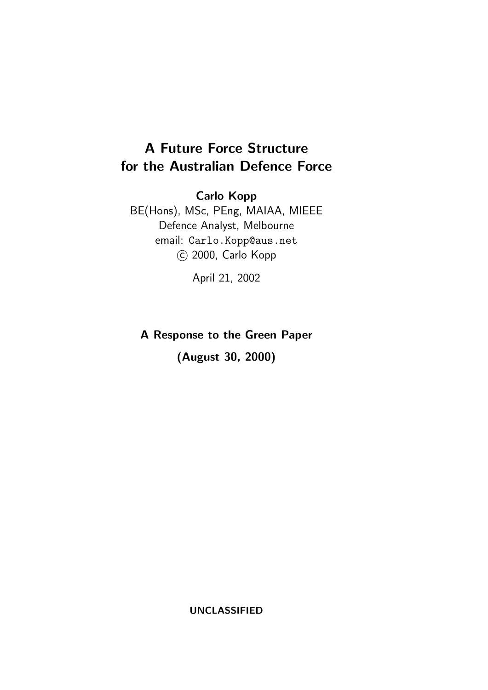# A Future Force Structure for the Australian Defence Force

Carlo Kopp

BE(Hons), MSc, PEng, MAIAA, MIEEE Defence Analyst, Melbourne email: Carlo.Kopp@aus.net c 2000, Carlo Kopp

April 21, 2002

A Response to the Green Paper

(August 30, 2000)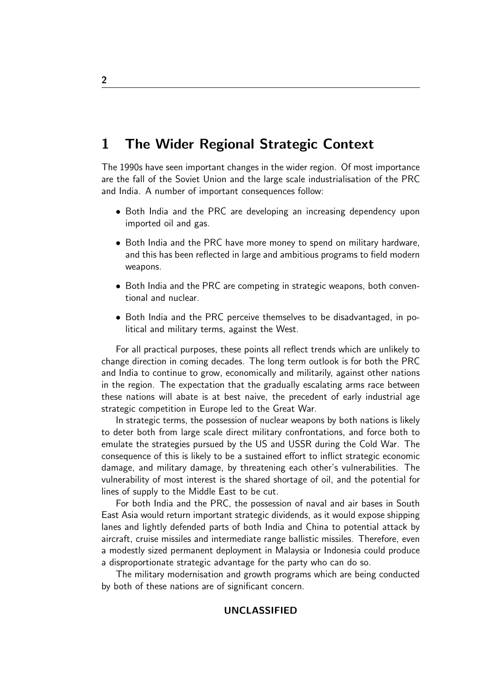## 1 The Wider Regional Strategic Context

The 1990s have seen important changes in the wider region. Of most importance are the fall of the Soviet Union and the large scale industrialisation of the PRC and India. A number of important consequences follow:

- Both India and the PRC are developing an increasing dependency upon imported oil and gas.
- Both India and the PRC have more money to spend on military hardware, and this has been reflected in large and ambitious programs to field modern weapons.
- Both India and the PRC are competing in strategic weapons, both conventional and nuclear.
- Both India and the PRC perceive themselves to be disadvantaged, in political and military terms, against the West.

For all practical purposes, these points all reflect trends which are unlikely to change direction in coming decades. The long term outlook is for both the PRC and India to continue to grow, economically and militarily, against other nations in the region. The expectation that the gradually escalating arms race between these nations will abate is at best naive, the precedent of early industrial age strategic competition in Europe led to the Great War.

In strategic terms, the possession of nuclear weapons by both nations is likely to deter both from large scale direct military confrontations, and force both to emulate the strategies pursued by the US and USSR during the Cold War. The consequence of this is likely to be a sustained effort to inflict strategic economic damage, and military damage, by threatening each other's vulnerabilities. The vulnerability of most interest is the shared shortage of oil, and the potential for lines of supply to the Middle East to be cut.

For both India and the PRC, the possession of naval and air bases in South East Asia would return important strategic dividends, as it would expose shipping lanes and lightly defended parts of both India and China to potential attack by aircraft, cruise missiles and intermediate range ballistic missiles. Therefore, even a modestly sized permanent deployment in Malaysia or Indonesia could produce a disproportionate strategic advantage for the party who can do so.

The military modernisation and growth programs which are being conducted by both of these nations are of significant concern.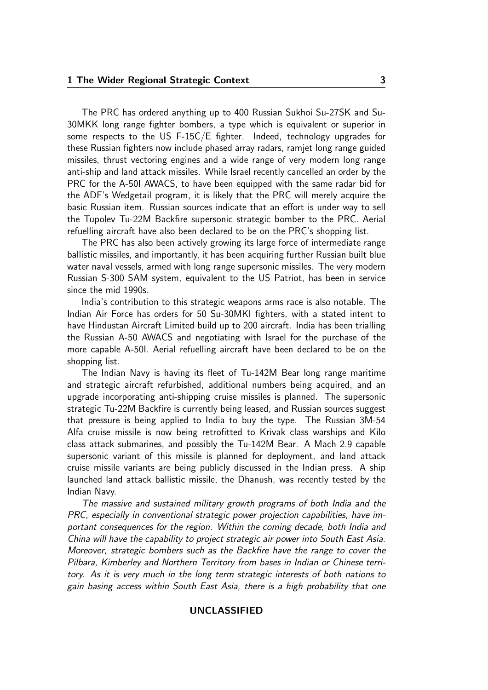The PRC has ordered anything up to 400 Russian Sukhoi Su-27SK and Su-30MKK long range fighter bombers, a type which is equivalent or superior in some respects to the US F-15C/E fighter. Indeed, technology upgrades for these Russian fighters now include phased array radars, ramjet long range guided missiles, thrust vectoring engines and a wide range of very modern long range anti-ship and land attack missiles. While Israel recently cancelled an order by the PRC for the A-50I AWACS, to have been equipped with the same radar bid for the ADF's Wedgetail program, it is likely that the PRC will merely acquire the basic Russian item. Russian sources indicate that an effort is under way to sell the Tupolev Tu-22M Backfire supersonic strategic bomber to the PRC. Aerial refuelling aircraft have also been declared to be on the PRC's shopping list.

The PRC has also been actively growing its large force of intermediate range ballistic missiles, and importantly, it has been acquiring further Russian built blue water naval vessels, armed with long range supersonic missiles. The very modern Russian S-300 SAM system, equivalent to the US Patriot, has been in service since the mid 1990s.

India's contribution to this strategic weapons arms race is also notable. The Indian Air Force has orders for 50 Su-30MKI fighters, with a stated intent to have Hindustan Aircraft Limited build up to 200 aircraft. India has been trialling the Russian A-50 AWACS and negotiating with Israel for the purchase of the more capable A-50I. Aerial refuelling aircraft have been declared to be on the shopping list.

The Indian Navy is having its fleet of Tu-142M Bear long range maritime and strategic aircraft refurbished, additional numbers being acquired, and an upgrade incorporating anti-shipping cruise missiles is planned. The supersonic strategic Tu-22M Backfire is currently being leased, and Russian sources suggest that pressure is being applied to India to buy the type. The Russian 3M-54 Alfa cruise missile is now being retrofitted to Krivak class warships and Kilo class attack submarines, and possibly the Tu-142M Bear. A Mach 2.9 capable supersonic variant of this missile is planned for deployment, and land attack cruise missile variants are being publicly discussed in the Indian press. A ship launched land attack ballistic missile, the Dhanush, was recently tested by the Indian Navy.

The massive and sustained military growth programs of both India and the PRC, especially in conventional strategic power projection capabilities, have important consequences for the region. Within the coming decade, both India and China will have the capability to project strategic air power into South East Asia. Moreover, strategic bombers such as the Backfire have the range to cover the Pilbara, Kimberley and Northern Territory from bases in Indian or Chinese territory. As it is very much in the long term strategic interests of both nations to gain basing access within South East Asia, there is a high probability that one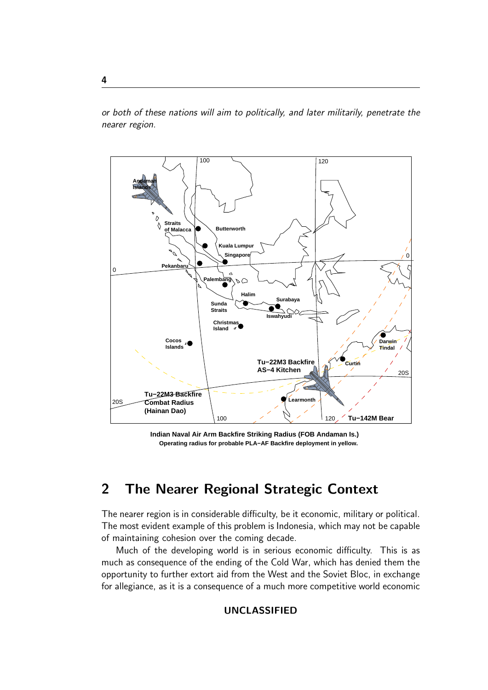or both of these nations will aim to politically, and later militarily, penetrate the nearer region.



**Indian Naval Air Arm Backfire Striking Radius (FOB Andaman Is.) Operating radius for probable PLA−AF Backfire deployment in yellow.**

# 2 The Nearer Regional Strategic Context

The nearer region is in considerable difficulty, be it economic, military or political. The most evident example of this problem is Indonesia, which may not be capable of maintaining cohesion over the coming decade.

Much of the developing world is in serious economic difficulty. This is as much as consequence of the ending of the Cold War, which has denied them the opportunity to further extort aid from the West and the Soviet Bloc, in exchange for allegiance, as it is a consequence of a much more competitive world economic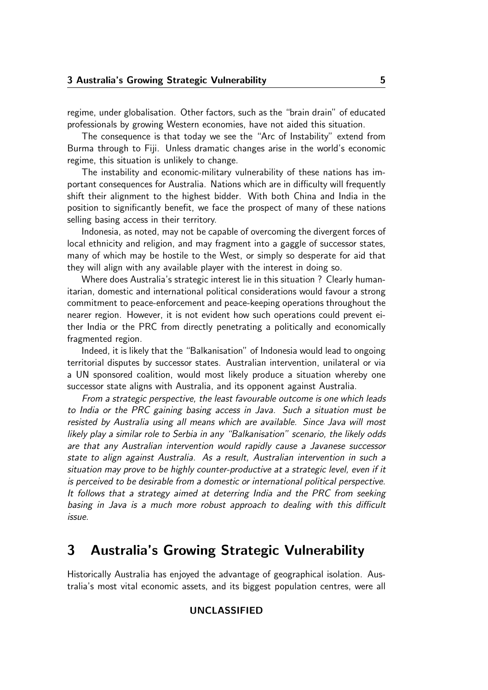regime, under globalisation. Other factors, such as the "brain drain" of educated professionals by growing Western economies, have not aided this situation.

The consequence is that today we see the "Arc of Instability" extend from Burma through to Fiji. Unless dramatic changes arise in the world's economic regime, this situation is unlikely to change.

The instability and economic-military vulnerability of these nations has important consequences for Australia. Nations which are in difficulty will frequently shift their alignment to the highest bidder. With both China and India in the position to significantly benefit, we face the prospect of many of these nations selling basing access in their territory.

Indonesia, as noted, may not be capable of overcoming the divergent forces of local ethnicity and religion, and may fragment into a gaggle of successor states, many of which may be hostile to the West, or simply so desperate for aid that they will align with any available player with the interest in doing so.

Where does Australia's strategic interest lie in this situation ? Clearly humanitarian, domestic and international political considerations would favour a strong commitment to peace-enforcement and peace-keeping operations throughout the nearer region. However, it is not evident how such operations could prevent either India or the PRC from directly penetrating a politically and economically fragmented region.

Indeed, it is likely that the "Balkanisation" of Indonesia would lead to ongoing territorial disputes by successor states. Australian intervention, unilateral or via a UN sponsored coalition, would most likely produce a situation whereby one successor state aligns with Australia, and its opponent against Australia.

From a strategic perspective, the least favourable outcome is one which leads to India or the PRC gaining basing access in Java. Such a situation must be resisted by Australia using all means which are available. Since Java will most likely play a similar role to Serbia in any "Balkanisation" scenario, the likely odds are that any Australian intervention would rapidly cause a Javanese successor state to align against Australia. As a result, Australian intervention in such a situation may prove to be highly counter-productive at a strategic level, even if it is perceived to be desirable from a domestic or international political perspective. It follows that a strategy aimed at deterring India and the PRC from seeking basing in Java is a much more robust approach to dealing with this difficult issue.

## 3 Australia's Growing Strategic Vulnerability

Historically Australia has enjoyed the advantage of geographical isolation. Australia's most vital economic assets, and its biggest population centres, were all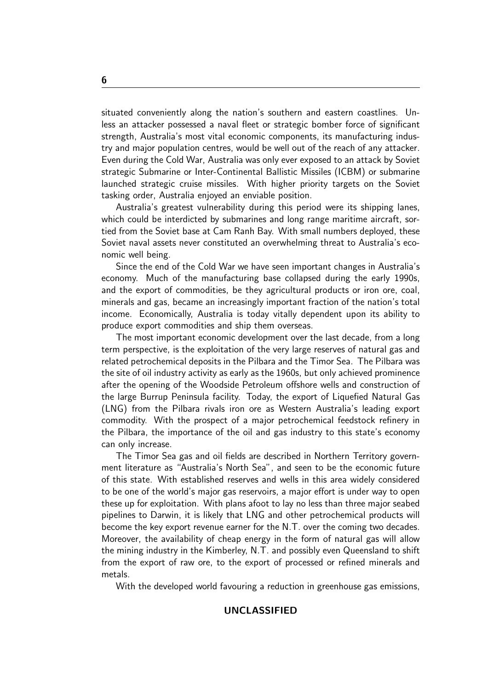situated conveniently along the nation's southern and eastern coastlines. Unless an attacker possessed a naval fleet or strategic bomber force of significant strength, Australia's most vital economic components, its manufacturing industry and major population centres, would be well out of the reach of any attacker. Even during the Cold War, Australia was only ever exposed to an attack by Soviet strategic Submarine or Inter-Continental Ballistic Missiles (ICBM) or submarine launched strategic cruise missiles. With higher priority targets on the Soviet tasking order, Australia enjoyed an enviable position.

Australia's greatest vulnerability during this period were its shipping lanes, which could be interdicted by submarines and long range maritime aircraft, sortied from the Soviet base at Cam Ranh Bay. With small numbers deployed, these Soviet naval assets never constituted an overwhelming threat to Australia's economic well being.

Since the end of the Cold War we have seen important changes in Australia's economy. Much of the manufacturing base collapsed during the early 1990s, and the export of commodities, be they agricultural products or iron ore, coal, minerals and gas, became an increasingly important fraction of the nation's total income. Economically, Australia is today vitally dependent upon its ability to produce export commodities and ship them overseas.

The most important economic development over the last decade, from a long term perspective, is the exploitation of the very large reserves of natural gas and related petrochemical deposits in the Pilbara and the Timor Sea. The Pilbara was the site of oil industry activity as early as the 1960s, but only achieved prominence after the opening of the Woodside Petroleum offshore wells and construction of the large Burrup Peninsula facility. Today, the export of Liquefied Natural Gas (LNG) from the Pilbara rivals iron ore as Western Australia's leading export commodity. With the prospect of a major petrochemical feedstock refinery in the Pilbara, the importance of the oil and gas industry to this state's economy can only increase.

The Timor Sea gas and oil fields are described in Northern Territory government literature as "Australia's North Sea", and seen to be the economic future of this state. With established reserves and wells in this area widely considered to be one of the world's major gas reservoirs, a major effort is under way to open these up for exploitation. With plans afoot to lay no less than three major seabed pipelines to Darwin, it is likely that LNG and other petrochemical products will become the key export revenue earner for the N.T. over the coming two decades. Moreover, the availability of cheap energy in the form of natural gas will allow the mining industry in the Kimberley, N.T. and possibly even Queensland to shift from the export of raw ore, to the export of processed or refined minerals and metals.

With the developed world favouring a reduction in greenhouse gas emissions,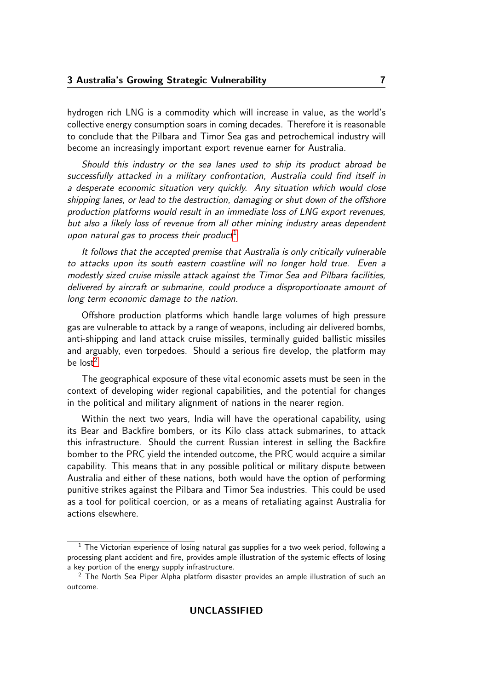hydrogen rich LNG is a commodity which will increase in value, as the world's collective energy consumption soars in coming decades. Therefore it is reasonable to conclude that the Pilbara and Timor Sea gas and petrochemical industry will become an increasingly important export revenue earner for Australia.

Should this industry or the sea lanes used to ship its product abroad be successfully attacked in a military confrontation, Australia could find itself in a desperate economic situation very quickly. Any situation which would close shipping lanes, or lead to the destruction, damaging or shut down of the offshore production platforms would result in an immediate loss of LNG export revenues, but also a likely loss of revenue from all other mining industry areas dependent upon natural gas to process their product<sup>[1](#page-6-0)</sup>

It follows that the accepted premise that Australia is only critically vulnerable to attacks upon its south eastern coastline will no longer hold true. Even a modestly sized cruise missile attack against the Timor Sea and Pilbara facilities, delivered by aircraft or submarine, could produce a disproportionate amount of long term economic damage to the nation.

Offshore production platforms which handle large volumes of high pressure gas are vulnerable to attack by a range of weapons, including air delivered bombs, anti-shipping and land attack cruise missiles, terminally guided ballistic missiles and arguably, even torpedoes. Should a serious fire develop, the platform may be  $lost<sup>2</sup>$  $lost<sup>2</sup>$  $lost<sup>2</sup>$ 

The geographical exposure of these vital economic assets must be seen in the context of developing wider regional capabilities, and the potential for changes in the political and military alignment of nations in the nearer region.

Within the next two years, India will have the operational capability, using its Bear and Backfire bombers, or its Kilo class attack submarines, to attack this infrastructure. Should the current Russian interest in selling the Backfire bomber to the PRC yield the intended outcome, the PRC would acquire a similar capability. This means that in any possible political or military dispute between Australia and either of these nations, both would have the option of performing punitive strikes against the Pilbara and Timor Sea industries. This could be used as a tool for political coercion, or as a means of retaliating against Australia for actions elsewhere.

<span id="page-6-0"></span> $1$  The Victorian experience of losing natural gas supplies for a two week period, following a processing plant accident and fire, provides ample illustration of the systemic effects of losing a key portion of the energy supply infrastructure.

<span id="page-6-1"></span><sup>&</sup>lt;sup>2</sup> The North Sea Piper Alpha platform disaster provides an ample illustration of such an outcome.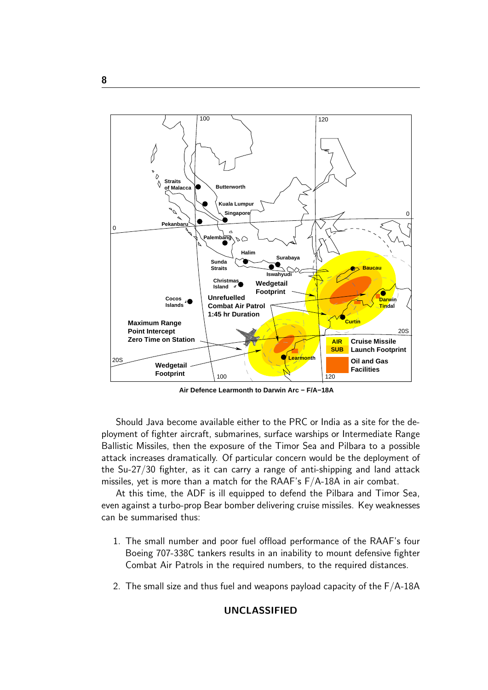

**Air Defence Learmonth to Darwin Arc − F/A−18A** 

Should Java become available either to the PRC or India as a site for the deployment of fighter aircraft, submarines, surface warships or Intermediate Range Ballistic Missiles, then the exposure of the Timor Sea and Pilbara to a possible attack increases dramatically. Of particular concern would be the deployment of the Su-27/30 fighter, as it can carry a range of anti-shipping and land attack missiles, yet is more than a match for the RAAF's F/A-18A in air combat.

At this time, the ADF is ill equipped to defend the Pilbara and Timor Sea, even against a turbo-prop Bear bomber delivering cruise missiles. Key weaknesses can be summarised thus:

- 1. The small number and poor fuel offload performance of the RAAF's four Boeing 707-338C tankers results in an inability to mount defensive fighter Combat Air Patrols in the required numbers, to the required distances.
- 2. The small size and thus fuel and weapons payload capacity of the F/A-18A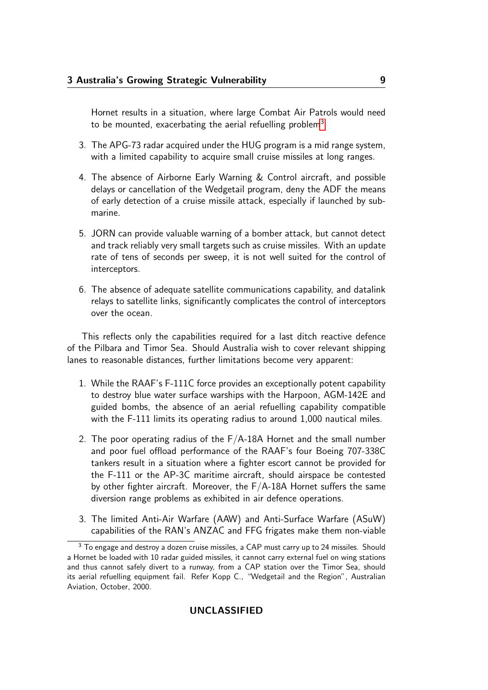Hornet results in a situation, where large Combat Air Patrols would need to be mounted, exacerbating the aerial refuelling problem<sup>[3](#page-8-0)</sup>

- 3. The APG-73 radar acquired under the HUG program is a mid range system, with a limited capability to acquire small cruise missiles at long ranges.
- 4. The absence of Airborne Early Warning & Control aircraft, and possible delays or cancellation of the Wedgetail program, deny the ADF the means of early detection of a cruise missile attack, especially if launched by submarine.
- 5. JORN can provide valuable warning of a bomber attack, but cannot detect and track reliably very small targets such as cruise missiles. With an update rate of tens of seconds per sweep, it is not well suited for the control of interceptors.
- 6. The absence of adequate satellite communications capability, and datalink relays to satellite links, significantly complicates the control of interceptors over the ocean.

This reflects only the capabilities required for a last ditch reactive defence of the Pilbara and Timor Sea. Should Australia wish to cover relevant shipping lanes to reasonable distances, further limitations become very apparent:

- 1. While the RAAF's F-111C force provides an exceptionally potent capability to destroy blue water surface warships with the Harpoon, AGM-142E and guided bombs, the absence of an aerial refuelling capability compatible with the F-111 limits its operating radius to around 1,000 nautical miles.
- 2. The poor operating radius of the F/A-18A Hornet and the small number and poor fuel offload performance of the RAAF's four Boeing 707-338C tankers result in a situation where a fighter escort cannot be provided for the F-111 or the AP-3C maritime aircraft, should airspace be contested by other fighter aircraft. Moreover, the  $F/A-18A$  Hornet suffers the same diversion range problems as exhibited in air defence operations.
- 3. The limited Anti-Air Warfare (AAW) and Anti-Surface Warfare (ASuW) capabilities of the RAN's ANZAC and FFG frigates make them non-viable

<span id="page-8-0"></span><sup>&</sup>lt;sup>3</sup> To engage and destroy a dozen cruise missiles, a CAP must carry up to 24 missiles. Should a Hornet be loaded with 10 radar guided missiles, it cannot carry external fuel on wing stations and thus cannot safely divert to a runway, from a CAP station over the Timor Sea, should its aerial refuelling equipment fail. Refer Kopp C., "Wedgetail and the Region", Australian Aviation, October, 2000.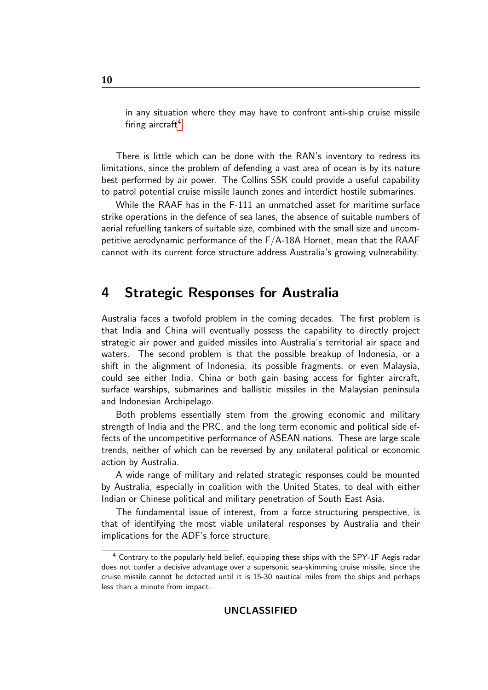in any situation where they may have to confront anti-ship cruise missile firing aircraft<sup>[4](#page-9-0)</sup>

There is little which can be done with the RAN's inventory to redress its limitations, since the problem of defending a vast area of ocean is by its nature best performed by air power. The Collins SSK could provide a useful capability to patrol potential cruise missile launch zones and interdict hostile submarines.

While the RAAF has in the F-111 an unmatched asset for maritime surface strike operations in the defence of sea lanes, the absence of suitable numbers of aerial refuelling tankers of suitable size, combined with the small size and uncompetitive aerodynamic performance of the F/A-18A Hornet, mean that the RAAF cannot with its current force structure address Australia's growing vulnerability.

## 4 Strategic Responses for Australia

Australia faces a twofold problem in the coming decades. The first problem is that India and China will eventually possess the capability to directly project strategic air power and guided missiles into Australia's territorial air space and waters. The second problem is that the possible breakup of Indonesia, or a shift in the alignment of Indonesia, its possible fragments, or even Malaysia, could see either India, China or both gain basing access for fighter aircraft, surface warships, submarines and ballistic missiles in the Malaysian peninsula and Indonesian Archipelago.

Both problems essentially stem from the growing economic and military strength of India and the PRC, and the long term economic and political side effects of the uncompetitive performance of ASEAN nations. These are large scale trends, neither of which can be reversed by any unilateral political or economic action by Australia.

A wide range of military and related strategic responses could be mounted by Australia, especially in coalition with the United States, to deal with either Indian or Chinese political and military penetration of South East Asia.

The fundamental issue of interest, from a force structuring perspective, is that of identifying the most viable unilateral responses by Australia and their implications for the ADF's force structure.

<span id="page-9-0"></span><sup>4</sup> Contrary to the popularly held belief, equipping these ships with the SPY-1F Aegis radar does not confer a decisive advantage over a supersonic sea-skimming cruise missile, since the cruise missile cannot be detected until it is 15-30 nautical miles from the ships and perhaps less than a minute from impact.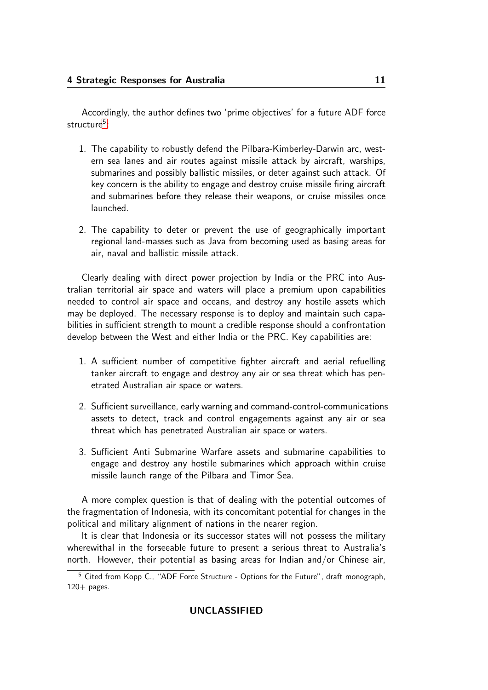Accordingly, the author defines two 'prime objectives' for a future ADF force structure<sup>[5](#page-10-0)</sup>:

- 1. The capability to robustly defend the Pilbara-Kimberley-Darwin arc, western sea lanes and air routes against missile attack by aircraft, warships, submarines and possibly ballistic missiles, or deter against such attack. Of key concern is the ability to engage and destroy cruise missile firing aircraft and submarines before they release their weapons, or cruise missiles once launched.
- 2. The capability to deter or prevent the use of geographically important regional land-masses such as Java from becoming used as basing areas for air, naval and ballistic missile attack.

Clearly dealing with direct power projection by India or the PRC into Australian territorial air space and waters will place a premium upon capabilities needed to control air space and oceans, and destroy any hostile assets which may be deployed. The necessary response is to deploy and maintain such capabilities in sufficient strength to mount a credible response should a confrontation develop between the West and either India or the PRC. Key capabilities are:

- 1. A sufficient number of competitive fighter aircraft and aerial refuelling tanker aircraft to engage and destroy any air or sea threat which has penetrated Australian air space or waters.
- 2. Sufficient surveillance, early warning and command-control-communications assets to detect, track and control engagements against any air or sea threat which has penetrated Australian air space or waters.
- 3. Sufficient Anti Submarine Warfare assets and submarine capabilities to engage and destroy any hostile submarines which approach within cruise missile launch range of the Pilbara and Timor Sea.

A more complex question is that of dealing with the potential outcomes of the fragmentation of Indonesia, with its concomitant potential for changes in the political and military alignment of nations in the nearer region.

It is clear that Indonesia or its successor states will not possess the military wherewithal in the forseeable future to present a serious threat to Australia's north. However, their potential as basing areas for Indian and/or Chinese air,

<span id="page-10-0"></span><sup>5</sup> Cited from Kopp C., "ADF Force Structure - Options for the Future", draft monograph,  $120+$  pages.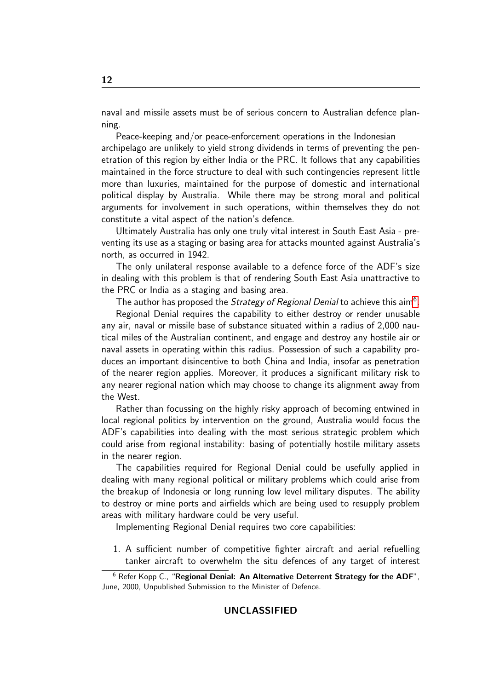naval and missile assets must be of serious concern to Australian defence planning.

Peace-keeping and/or peace-enforcement operations in the Indonesian archipelago are unlikely to yield strong dividends in terms of preventing the penetration of this region by either India or the PRC. It follows that any capabilities maintained in the force structure to deal with such contingencies represent little more than luxuries, maintained for the purpose of domestic and international political display by Australia. While there may be strong moral and political arguments for involvement in such operations, within themselves they do not constitute a vital aspect of the nation's defence.

Ultimately Australia has only one truly vital interest in South East Asia - preventing its use as a staging or basing area for attacks mounted against Australia's north, as occurred in 1942.

The only unilateral response available to a defence force of the ADF's size in dealing with this problem is that of rendering South East Asia unattractive to the PRC or India as a staging and basing area.

The author has proposed the Strategy of Regional Denial to achieve this aim<sup>[6](#page-11-0)</sup>.

Regional Denial requires the capability to either destroy or render unusable any air, naval or missile base of substance situated within a radius of 2,000 nautical miles of the Australian continent, and engage and destroy any hostile air or naval assets in operating within this radius. Possession of such a capability produces an important disincentive to both China and India, insofar as penetration of the nearer region applies. Moreover, it produces a significant military risk to any nearer regional nation which may choose to change its alignment away from the West.

Rather than focussing on the highly risky approach of becoming entwined in local regional politics by intervention on the ground, Australia would focus the ADF's capabilities into dealing with the most serious strategic problem which could arise from regional instability: basing of potentially hostile military assets in the nearer region.

The capabilities required for Regional Denial could be usefully applied in dealing with many regional political or military problems which could arise from the breakup of Indonesia or long running low level military disputes. The ability to destroy or mine ports and airfields which are being used to resupply problem areas with military hardware could be very useful.

Implementing Regional Denial requires two core capabilities:

1. A sufficient number of competitive fighter aircraft and aerial refuelling tanker aircraft to overwhelm the situ defences of any target of interest

<span id="page-11-0"></span><sup>&</sup>lt;sup>6</sup> Refer Kopp C., "Regional Denial: An Alternative Deterrent Strategy for the ADF", June, 2000, Unpublished Submission to the Minister of Defence.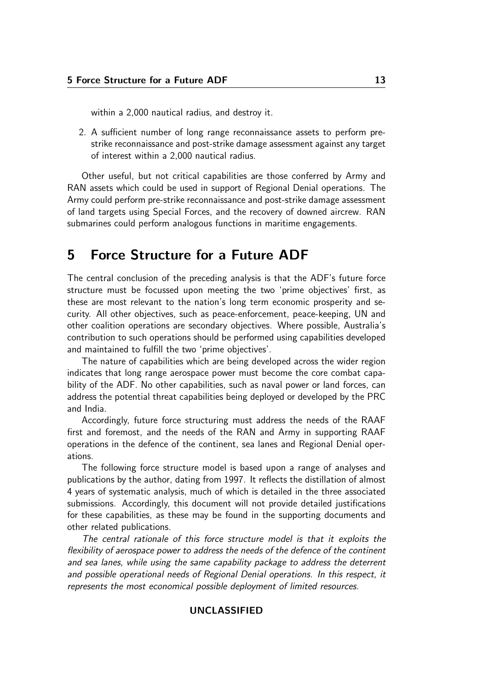within a 2,000 nautical radius, and destroy it.

2. A sufficient number of long range reconnaissance assets to perform prestrike reconnaissance and post-strike damage assessment against any target of interest within a 2,000 nautical radius.

Other useful, but not critical capabilities are those conferred by Army and RAN assets which could be used in support of Regional Denial operations. The Army could perform pre-strike reconnaissance and post-strike damage assessment of land targets using Special Forces, and the recovery of downed aircrew. RAN submarines could perform analogous functions in maritime engagements.

## 5 Force Structure for a Future ADF

The central conclusion of the preceding analysis is that the ADF's future force structure must be focussed upon meeting the two 'prime objectives' first, as these are most relevant to the nation's long term economic prosperity and security. All other objectives, such as peace-enforcement, peace-keeping, UN and other coalition operations are secondary objectives. Where possible, Australia's contribution to such operations should be performed using capabilities developed and maintained to fulfill the two 'prime objectives'.

The nature of capabilities which are being developed across the wider region indicates that long range aerospace power must become the core combat capability of the ADF. No other capabilities, such as naval power or land forces, can address the potential threat capabilities being deployed or developed by the PRC and India.

Accordingly, future force structuring must address the needs of the RAAF first and foremost, and the needs of the RAN and Army in supporting RAAF operations in the defence of the continent, sea lanes and Regional Denial operations.

The following force structure model is based upon a range of analyses and publications by the author, dating from 1997. It reflects the distillation of almost 4 years of systematic analysis, much of which is detailed in the three associated submissions. Accordingly, this document will not provide detailed justifications for these capabilities, as these may be found in the supporting documents and other related publications.

The central rationale of this force structure model is that it exploits the flexibility of aerospace power to address the needs of the defence of the continent and sea lanes, while using the same capability package to address the deterrent and possible operational needs of Regional Denial operations. In this respect, it represents the most economical possible deployment of limited resources.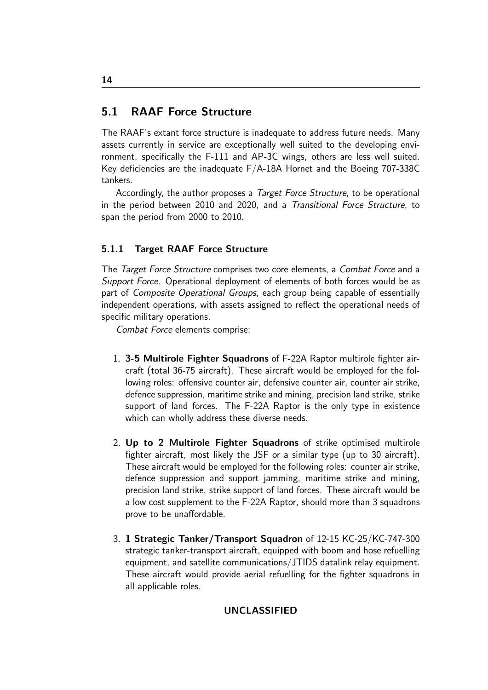## 5.1 RAAF Force Structure

The RAAF's extant force structure is inadequate to address future needs. Many assets currently in service are exceptionally well suited to the developing environment, specifically the F-111 and AP-3C wings, others are less well suited. Key deficiencies are the inadequate F/A-18A Hornet and the Boeing 707-338C tankers.

Accordingly, the author proposes a Target Force Structure, to be operational in the period between 2010 and 2020, and a Transitional Force Structure, to span the period from 2000 to 2010.

## 5.1.1 Target RAAF Force Structure

The Target Force Structure comprises two core elements, a Combat Force and a Support Force. Operational deployment of elements of both forces would be as part of Composite Operational Groups, each group being capable of essentially independent operations, with assets assigned to reflect the operational needs of specific military operations.

Combat Force elements comprise:

- 1. 3-5 Multirole Fighter Squadrons of F-22A Raptor multirole fighter aircraft (total 36-75 aircraft). These aircraft would be employed for the following roles: offensive counter air, defensive counter air, counter air strike, defence suppression, maritime strike and mining, precision land strike, strike support of land forces. The F-22A Raptor is the only type in existence which can wholly address these diverse needs.
- 2. Up to 2 Multirole Fighter Squadrons of strike optimised multirole fighter aircraft, most likely the JSF or a similar type (up to 30 aircraft). These aircraft would be employed for the following roles: counter air strike, defence suppression and support jamming, maritime strike and mining, precision land strike, strike support of land forces. These aircraft would be a low cost supplement to the F-22A Raptor, should more than 3 squadrons prove to be unaffordable.
- 3. 1 Strategic Tanker/Transport Squadron of 12-15 KC-25/KC-747-300 strategic tanker-transport aircraft, equipped with boom and hose refuelling equipment, and satellite communications/JTIDS datalink relay equipment. These aircraft would provide aerial refuelling for the fighter squadrons in all applicable roles.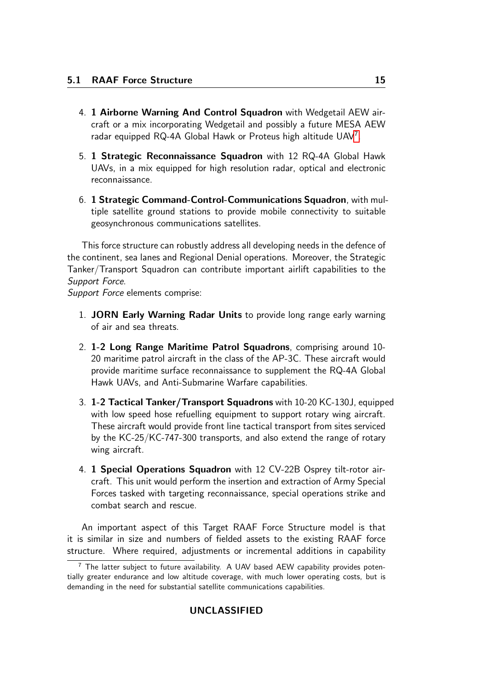- 4. 1 Airborne Warning And Control Squadron with Wedgetail AEW aircraft or a mix incorporating Wedgetail and possibly a future MESA AEW radar equipped RQ-4A Global Hawk or Proteus high altitude UAV<sup>[7](#page-14-0)</sup>.
- 5. 1 Strategic Reconnaissance Squadron with 12 RQ-4A Global Hawk UAVs, in a mix equipped for high resolution radar, optical and electronic reconnaissance.
- 6. 1 Strategic Command-Control-Communications Squadron, with multiple satellite ground stations to provide mobile connectivity to suitable geosynchronous communications satellites.

This force structure can robustly address all developing needs in the defence of the continent, sea lanes and Regional Denial operations. Moreover, the Strategic Tanker/Transport Squadron can contribute important airlift capabilities to the Support Force.

Support Force elements comprise:

- 1. JORN Early Warning Radar Units to provide long range early warning of air and sea threats.
- 2. 1-2 Long Range Maritime Patrol Squadrons, comprising around 10- 20 maritime patrol aircraft in the class of the AP-3C. These aircraft would provide maritime surface reconnaissance to supplement the RQ-4A Global Hawk UAVs, and Anti-Submarine Warfare capabilities.
- 3. 1-2 Tactical Tanker/Transport Squadrons with 10-20 KC-130J, equipped with low speed hose refuelling equipment to support rotary wing aircraft. These aircraft would provide front line tactical transport from sites serviced by the KC-25/KC-747-300 transports, and also extend the range of rotary wing aircraft.
- 4. 1 Special Operations Squadron with 12 CV-22B Osprey tilt-rotor aircraft. This unit would perform the insertion and extraction of Army Special Forces tasked with targeting reconnaissance, special operations strike and combat search and rescue.

An important aspect of this Target RAAF Force Structure model is that it is similar in size and numbers of fielded assets to the existing RAAF force structure. Where required, adjustments or incremental additions in capability

<span id="page-14-0"></span> $<sup>7</sup>$  The latter subject to future availability. A UAV based AEW capability provides poten-</sup> tially greater endurance and low altitude coverage, with much lower operating costs, but is demanding in the need for substantial satellite communications capabilities.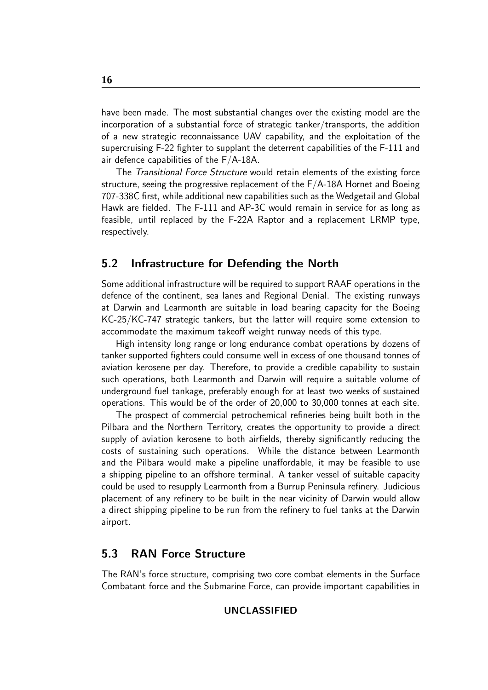have been made. The most substantial changes over the existing model are the incorporation of a substantial force of strategic tanker/transports, the addition of a new strategic reconnaissance UAV capability, and the exploitation of the supercruising F-22 fighter to supplant the deterrent capabilities of the F-111 and air defence capabilities of the F/A-18A.

The Transitional Force Structure would retain elements of the existing force structure, seeing the progressive replacement of the  $F/A-18A$  Hornet and Boeing 707-338C first, while additional new capabilities such as the Wedgetail and Global Hawk are fielded. The F-111 and AP-3C would remain in service for as long as feasible, until replaced by the F-22A Raptor and a replacement LRMP type, respectively.

## 5.2 Infrastructure for Defending the North

Some additional infrastructure will be required to support RAAF operations in the defence of the continent, sea lanes and Regional Denial. The existing runways at Darwin and Learmonth are suitable in load bearing capacity for the Boeing KC-25/KC-747 strategic tankers, but the latter will require some extension to accommodate the maximum takeoff weight runway needs of this type.

High intensity long range or long endurance combat operations by dozens of tanker supported fighters could consume well in excess of one thousand tonnes of aviation kerosene per day. Therefore, to provide a credible capability to sustain such operations, both Learmonth and Darwin will require a suitable volume of underground fuel tankage, preferably enough for at least two weeks of sustained operations. This would be of the order of 20,000 to 30,000 tonnes at each site.

The prospect of commercial petrochemical refineries being built both in the Pilbara and the Northern Territory, creates the opportunity to provide a direct supply of aviation kerosene to both airfields, thereby significantly reducing the costs of sustaining such operations. While the distance between Learmonth and the Pilbara would make a pipeline unaffordable, it may be feasible to use a shipping pipeline to an offshore terminal. A tanker vessel of suitable capacity could be used to resupply Learmonth from a Burrup Peninsula refinery. Judicious placement of any refinery to be built in the near vicinity of Darwin would allow a direct shipping pipeline to be run from the refinery to fuel tanks at the Darwin airport.

## 5.3 RAN Force Structure

The RAN's force structure, comprising two core combat elements in the Surface Combatant force and the Submarine Force, can provide important capabilities in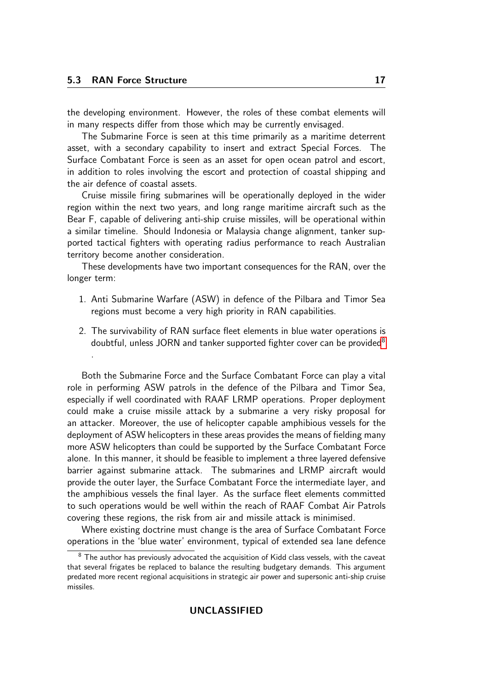the developing environment. However, the roles of these combat elements will in many respects differ from those which may be currently envisaged.

The Submarine Force is seen at this time primarily as a maritime deterrent asset, with a secondary capability to insert and extract Special Forces. The Surface Combatant Force is seen as an asset for open ocean patrol and escort, in addition to roles involving the escort and protection of coastal shipping and the air defence of coastal assets.

Cruise missile firing submarines will be operationally deployed in the wider region within the next two years, and long range maritime aircraft such as the Bear F, capable of delivering anti-ship cruise missiles, will be operational within a similar timeline. Should Indonesia or Malaysia change alignment, tanker supported tactical fighters with operating radius performance to reach Australian territory become another consideration.

These developments have two important consequences for the RAN, over the longer term:

- 1. Anti Submarine Warfare (ASW) in defence of the Pilbara and Timor Sea regions must become a very high priority in RAN capabilities.
- 2. The survivability of RAN surface fleet elements in blue water operations is doubtful, unless JORN and tanker supported fighter cover can be provided<sup>[8](#page-16-0)</sup> .

Both the Submarine Force and the Surface Combatant Force can play a vital role in performing ASW patrols in the defence of the Pilbara and Timor Sea, especially if well coordinated with RAAF LRMP operations. Proper deployment could make a cruise missile attack by a submarine a very risky proposal for an attacker. Moreover, the use of helicopter capable amphibious vessels for the deployment of ASW helicopters in these areas provides the means of fielding many more ASW helicopters than could be supported by the Surface Combatant Force alone. In this manner, it should be feasible to implement a three layered defensive barrier against submarine attack. The submarines and LRMP aircraft would provide the outer layer, the Surface Combatant Force the intermediate layer, and the amphibious vessels the final layer. As the surface fleet elements committed to such operations would be well within the reach of RAAF Combat Air Patrols covering these regions, the risk from air and missile attack is minimised.

Where existing doctrine must change is the area of Surface Combatant Force operations in the 'blue water' environment, typical of extended sea lane defence

<span id="page-16-0"></span> $8$  The author has previously advocated the acquisition of Kidd class vessels, with the caveat that several frigates be replaced to balance the resulting budgetary demands. This argument predated more recent regional acquisitions in strategic air power and supersonic anti-ship cruise missiles.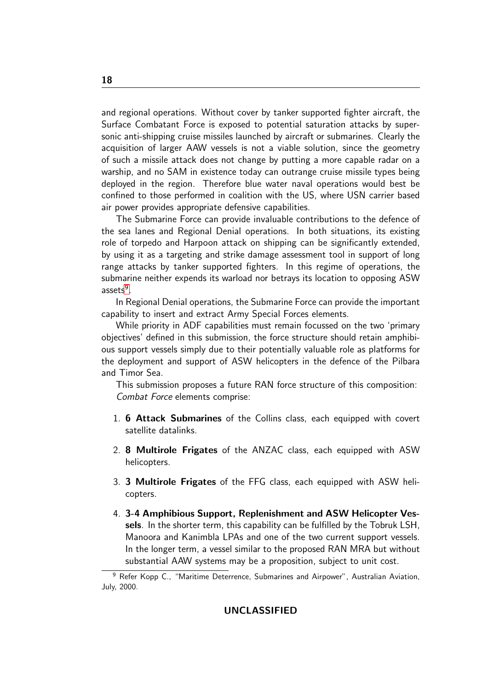and regional operations. Without cover by tanker supported fighter aircraft, the Surface Combatant Force is exposed to potential saturation attacks by supersonic anti-shipping cruise missiles launched by aircraft or submarines. Clearly the acquisition of larger AAW vessels is not a viable solution, since the geometry of such a missile attack does not change by putting a more capable radar on a warship, and no SAM in existence today can outrange cruise missile types being deployed in the region. Therefore blue water naval operations would best be confined to those performed in coalition with the US, where USN carrier based air power provides appropriate defensive capabilities.

The Submarine Force can provide invaluable contributions to the defence of the sea lanes and Regional Denial operations. In both situations, its existing role of torpedo and Harpoon attack on shipping can be significantly extended, by using it as a targeting and strike damage assessment tool in support of long range attacks by tanker supported fighters. In this regime of operations, the submarine neither expends its warload nor betrays its location to opposing ASW assets<sup>[9](#page-17-0)</sup>.

In Regional Denial operations, the Submarine Force can provide the important capability to insert and extract Army Special Forces elements.

While priority in ADF capabilities must remain focussed on the two 'primary objectives' defined in this submission, the force structure should retain amphibious support vessels simply due to their potentially valuable role as platforms for the deployment and support of ASW helicopters in the defence of the Pilbara and Timor Sea.

This submission proposes a future RAN force structure of this composition: Combat Force elements comprise:

- 1. **6 Attack Submarines** of the Collins class, each equipped with covert satellite datalinks.
- 2. 8 Multirole Frigates of the ANZAC class, each equipped with ASW helicopters.
- 3. 3 Multirole Frigates of the FFG class, each equipped with ASW helicopters.
- 4. 3-4 Amphibious Support, Replenishment and ASW Helicopter Vessels. In the shorter term, this capability can be fulfilled by the Tobruk LSH, Manoora and Kanimbla LPAs and one of the two current support vessels. In the longer term, a vessel similar to the proposed RAN MRA but without substantial AAW systems may be a proposition, subject to unit cost.

<span id="page-17-0"></span><sup>&</sup>lt;sup>9</sup> Refer Kopp C., "Maritime Deterrence, Submarines and Airpower", Australian Aviation, July, 2000.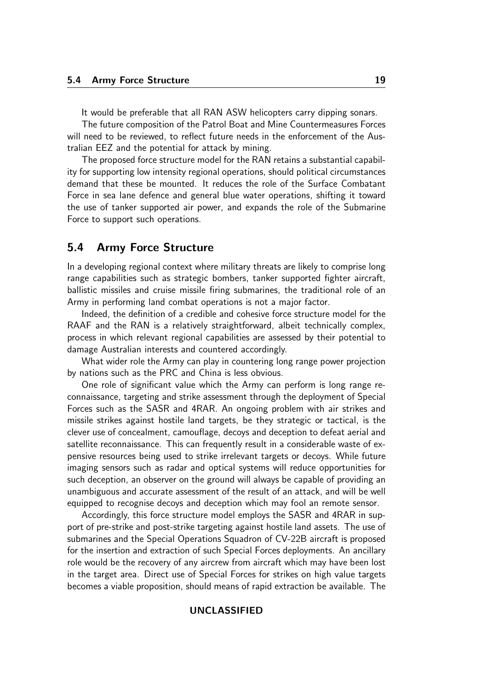It would be preferable that all RAN ASW helicopters carry dipping sonars.

The future composition of the Patrol Boat and Mine Countermeasures Forces will need to be reviewed, to reflect future needs in the enforcement of the Australian EEZ and the potential for attack by mining.

The proposed force structure model for the RAN retains a substantial capability for supporting low intensity regional operations, should political circumstances demand that these be mounted. It reduces the role of the Surface Combatant Force in sea lane defence and general blue water operations, shifting it toward the use of tanker supported air power, and expands the role of the Submarine Force to support such operations.

## 5.4 Army Force Structure

In a developing regional context where military threats are likely to comprise long range capabilities such as strategic bombers, tanker supported fighter aircraft, ballistic missiles and cruise missile firing submarines, the traditional role of an Army in performing land combat operations is not a major factor.

Indeed, the definition of a credible and cohesive force structure model for the RAAF and the RAN is a relatively straightforward, albeit technically complex, process in which relevant regional capabilities are assessed by their potential to damage Australian interests and countered accordingly.

What wider role the Army can play in countering long range power projection by nations such as the PRC and China is less obvious.

One role of significant value which the Army can perform is long range reconnaissance, targeting and strike assessment through the deployment of Special Forces such as the SASR and 4RAR. An ongoing problem with air strikes and missile strikes against hostile land targets, be they strategic or tactical, is the clever use of concealment, camouflage, decoys and deception to defeat aerial and satellite reconnaissance. This can frequently result in a considerable waste of expensive resources being used to strike irrelevant targets or decoys. While future imaging sensors such as radar and optical systems will reduce opportunities for such deception, an observer on the ground will always be capable of providing an unambiguous and accurate assessment of the result of an attack, and will be well equipped to recognise decoys and deception which may fool an remote sensor.

Accordingly, this force structure model employs the SASR and 4RAR in support of pre-strike and post-strike targeting against hostile land assets. The use of submarines and the Special Operations Squadron of CV-22B aircraft is proposed for the insertion and extraction of such Special Forces deployments. An ancillary role would be the recovery of any aircrew from aircraft which may have been lost in the target area. Direct use of Special Forces for strikes on high value targets becomes a viable proposition, should means of rapid extraction be available. The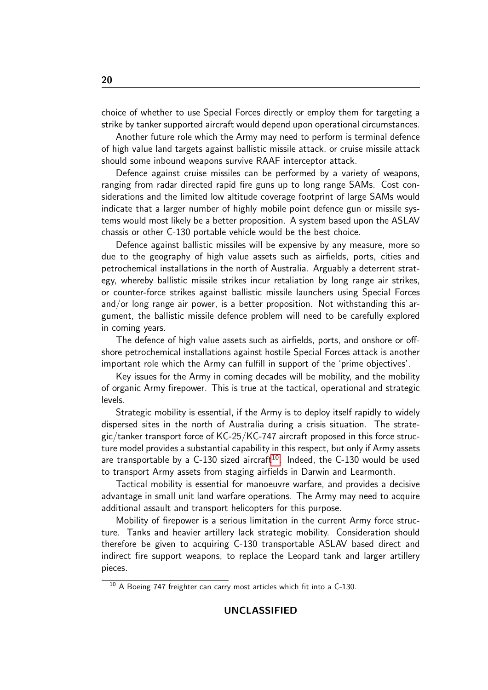choice of whether to use Special Forces directly or employ them for targeting a strike by tanker supported aircraft would depend upon operational circumstances.

Another future role which the Army may need to perform is terminal defence of high value land targets against ballistic missile attack, or cruise missile attack should some inbound weapons survive RAAF interceptor attack.

Defence against cruise missiles can be performed by a variety of weapons, ranging from radar directed rapid fire guns up to long range SAMs. Cost considerations and the limited low altitude coverage footprint of large SAMs would indicate that a larger number of highly mobile point defence gun or missile systems would most likely be a better proposition. A system based upon the ASLAV chassis or other C-130 portable vehicle would be the best choice.

Defence against ballistic missiles will be expensive by any measure, more so due to the geography of high value assets such as airfields, ports, cities and petrochemical installations in the north of Australia. Arguably a deterrent strategy, whereby ballistic missile strikes incur retaliation by long range air strikes, or counter-force strikes against ballistic missile launchers using Special Forces and/or long range air power, is a better proposition. Not withstanding this argument, the ballistic missile defence problem will need to be carefully explored in coming years.

The defence of high value assets such as airfields, ports, and onshore or offshore petrochemical installations against hostile Special Forces attack is another important role which the Army can fulfill in support of the 'prime objectives'.

Key issues for the Army in coming decades will be mobility, and the mobility of organic Army firepower. This is true at the tactical, operational and strategic levels.

Strategic mobility is essential, if the Army is to deploy itself rapidly to widely dispersed sites in the north of Australia during a crisis situation. The strategic/tanker transport force of KC-25/KC-747 aircraft proposed in this force structure model provides a substantial capability in this respect, but only if Army assets are transportable by a  $C-130$  sized aircraft<sup>[10](#page-19-0)</sup>. Indeed, the  $C-130$  would be used to transport Army assets from staging airfields in Darwin and Learmonth.

Tactical mobility is essential for manoeuvre warfare, and provides a decisive advantage in small unit land warfare operations. The Army may need to acquire additional assault and transport helicopters for this purpose.

Mobility of firepower is a serious limitation in the current Army force structure. Tanks and heavier artillery lack strategic mobility. Consideration should therefore be given to acquiring C-130 transportable ASLAV based direct and indirect fire support weapons, to replace the Leopard tank and larger artillery pieces.

<span id="page-19-0"></span><sup>&</sup>lt;sup>10</sup> A Boeing 747 freighter can carry most articles which fit into a C-130.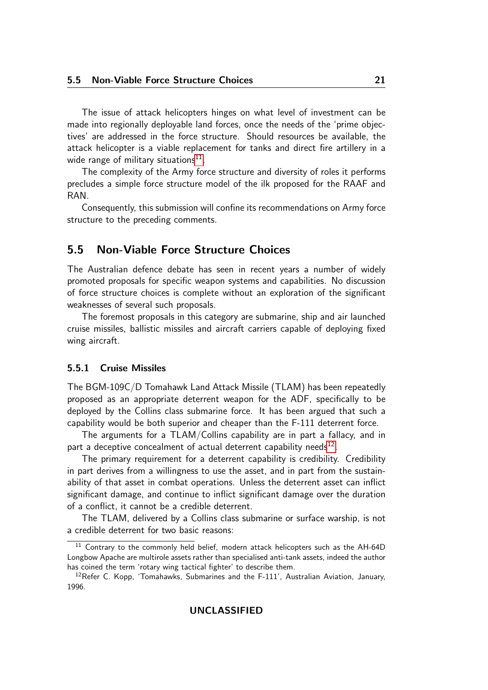The issue of attack helicopters hinges on what level of investment can be made into regionally deployable land forces, once the needs of the 'prime objectives' are addressed in the force structure. Should resources be available, the attack helicopter is a viable replacement for tanks and direct fire artillery in a wide range of military situations $^{\rm 11}.$  $^{\rm 11}.$  $^{\rm 11}.$ 

The complexity of the Army force structure and diversity of roles it performs precludes a simple force structure model of the ilk proposed for the RAAF and RAN.

Consequently, this submission will confine its recommendations on Army force structure to the preceding comments.

## 5.5 Non-Viable Force Structure Choices

The Australian defence debate has seen in recent years a number of widely promoted proposals for specific weapon systems and capabilities. No discussion of force structure choices is complete without an exploration of the significant weaknesses of several such proposals.

The foremost proposals in this category are submarine, ship and air launched cruise missiles, ballistic missiles and aircraft carriers capable of deploying fixed wing aircraft.

#### 5.5.1 Cruise Missiles

The BGM-109C/D Tomahawk Land Attack Missile (TLAM) has been repeatedly proposed as an appropriate deterrent weapon for the ADF, specifically to be deployed by the Collins class submarine force. It has been argued that such a capability would be both superior and cheaper than the F-111 deterrent force.

The arguments for a TLAM/Collins capability are in part a fallacy, and in part a deceptive concealment of actual deterrent capability needs $^{12}$  $^{12}$  $^{12}$ .

The primary requirement for a deterrent capability is credibility. Credibility in part derives from a willingness to use the asset, and in part from the sustainability of that asset in combat operations. Unless the deterrent asset can inflict significant damage, and continue to inflict significant damage over the duration of a conflict, it cannot be a credible deterrent.

The TLAM, delivered by a Collins class submarine or surface warship, is not a credible deterrent for two basic reasons:

<span id="page-20-0"></span><sup>&</sup>lt;sup>11</sup> Contrary to the commonly held belief, modern attack helicopters such as the AH-64D Longbow Apache are multirole assets rather than specialised anti-tank assets, indeed the author has coined the term 'rotary wing tactical fighter' to describe them.

<span id="page-20-1"></span><sup>&</sup>lt;sup>12</sup>Refer C. Kopp, 'Tomahawks, Submarines and the F-111', Australian Aviation, January, 1996.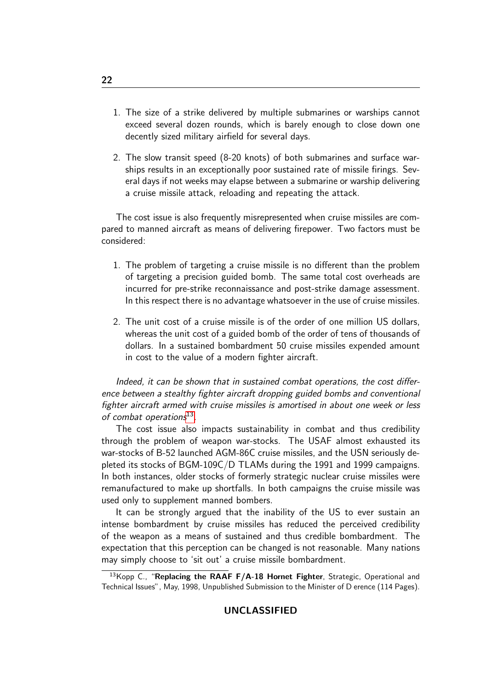- 1. The size of a strike delivered by multiple submarines or warships cannot exceed several dozen rounds, which is barely enough to close down one decently sized military airfield for several days.
- 2. The slow transit speed (8-20 knots) of both submarines and surface warships results in an exceptionally poor sustained rate of missile firings. Several days if not weeks may elapse between a submarine or warship delivering a cruise missile attack, reloading and repeating the attack.

The cost issue is also frequently misrepresented when cruise missiles are compared to manned aircraft as means of delivering firepower. Two factors must be considered:

- 1. The problem of targeting a cruise missile is no different than the problem of targeting a precision guided bomb. The same total cost overheads are incurred for pre-strike reconnaissance and post-strike damage assessment. In this respect there is no advantage whatsoever in the use of cruise missiles.
- 2. The unit cost of a cruise missile is of the order of one million US dollars, whereas the unit cost of a guided bomb of the order of tens of thousands of dollars. In a sustained bombardment 50 cruise missiles expended amount in cost to the value of a modern fighter aircraft.

Indeed, it can be shown that in sustained combat operations, the cost difference between a stealthy fighter aircraft dropping guided bombs and conventional fighter aircraft armed with cruise missiles is amortised in about one week or less of combat operations<sup>[13](#page-21-0)</sup>.

The cost issue also impacts sustainability in combat and thus credibility through the problem of weapon war-stocks. The USAF almost exhausted its war-stocks of B-52 launched AGM-86C cruise missiles, and the USN seriously depleted its stocks of BGM-109C/D TLAMs during the 1991 and 1999 campaigns. In both instances, older stocks of formerly strategic nuclear cruise missiles were remanufactured to make up shortfalls. In both campaigns the cruise missile was used only to supplement manned bombers.

It can be strongly argued that the inability of the US to ever sustain an intense bombardment by cruise missiles has reduced the perceived credibility of the weapon as a means of sustained and thus credible bombardment. The expectation that this perception can be changed is not reasonable. Many nations may simply choose to 'sit out' a cruise missile bombardment.

<span id="page-21-0"></span><sup>&</sup>lt;sup>13</sup> Kopp C., "Replacing the RAAF  $F/A-18$  Hornet Fighter, Strategic, Operational and Technical Issues", May, 1998, Unpublished Submission to the Minister of D erence (114 Pages).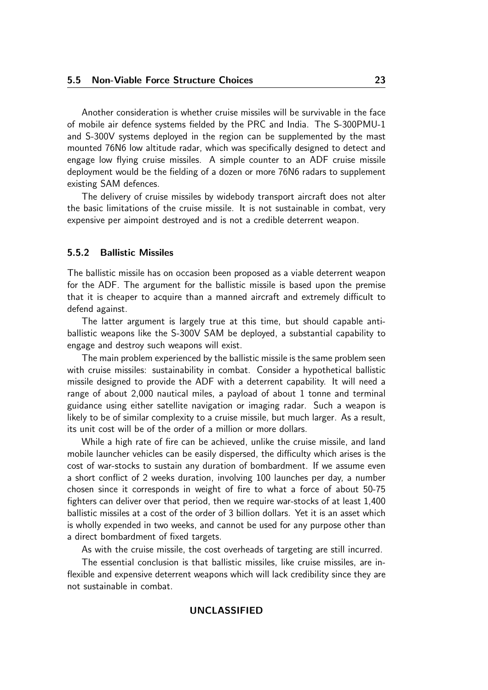Another consideration is whether cruise missiles will be survivable in the face of mobile air defence systems fielded by the PRC and India. The S-300PMU-1 and S-300V systems deployed in the region can be supplemented by the mast mounted 76N6 low altitude radar, which was specifically designed to detect and engage low flying cruise missiles. A simple counter to an ADF cruise missile deployment would be the fielding of a dozen or more 76N6 radars to supplement existing SAM defences.

The delivery of cruise missiles by widebody transport aircraft does not alter the basic limitations of the cruise missile. It is not sustainable in combat, very expensive per aimpoint destroyed and is not a credible deterrent weapon.

#### 5.5.2 Ballistic Missiles

The ballistic missile has on occasion been proposed as a viable deterrent weapon for the ADF. The argument for the ballistic missile is based upon the premise that it is cheaper to acquire than a manned aircraft and extremely difficult to defend against.

The latter argument is largely true at this time, but should capable antiballistic weapons like the S-300V SAM be deployed, a substantial capability to engage and destroy such weapons will exist.

The main problem experienced by the ballistic missile is the same problem seen with cruise missiles: sustainability in combat. Consider a hypothetical ballistic missile designed to provide the ADF with a deterrent capability. It will need a range of about 2,000 nautical miles, a payload of about 1 tonne and terminal guidance using either satellite navigation or imaging radar. Such a weapon is likely to be of similar complexity to a cruise missile, but much larger. As a result, its unit cost will be of the order of a million or more dollars.

While a high rate of fire can be achieved, unlike the cruise missile, and land mobile launcher vehicles can be easily dispersed, the difficulty which arises is the cost of war-stocks to sustain any duration of bombardment. If we assume even a short conflict of 2 weeks duration, involving 100 launches per day, a number chosen since it corresponds in weight of fire to what a force of about 50-75 fighters can deliver over that period, then we require war-stocks of at least 1,400 ballistic missiles at a cost of the order of 3 billion dollars. Yet it is an asset which is wholly expended in two weeks, and cannot be used for any purpose other than a direct bombardment of fixed targets.

As with the cruise missile, the cost overheads of targeting are still incurred.

The essential conclusion is that ballistic missiles, like cruise missiles, are inflexible and expensive deterrent weapons which will lack credibility since they are not sustainable in combat.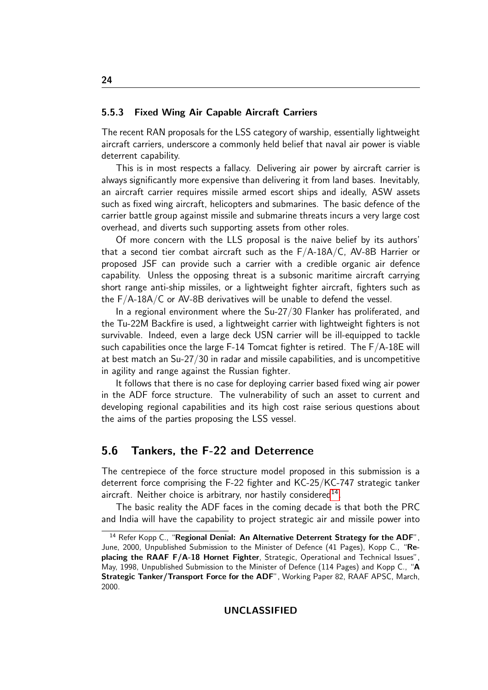#### 5.5.3 Fixed Wing Air Capable Aircraft Carriers

The recent RAN proposals for the LSS category of warship, essentially lightweight aircraft carriers, underscore a commonly held belief that naval air power is viable deterrent capability.

This is in most respects a fallacy. Delivering air power by aircraft carrier is always significantly more expensive than delivering it from land bases. Inevitably, an aircraft carrier requires missile armed escort ships and ideally, ASW assets such as fixed wing aircraft, helicopters and submarines. The basic defence of the carrier battle group against missile and submarine threats incurs a very large cost overhead, and diverts such supporting assets from other roles.

Of more concern with the LLS proposal is the naive belief by its authors' that a second tier combat aircraft such as the F/A-18A/C, AV-8B Harrier or proposed JSF can provide such a carrier with a credible organic air defence capability. Unless the opposing threat is a subsonic maritime aircraft carrying short range anti-ship missiles, or a lightweight fighter aircraft, fighters such as the F/A-18A/C or AV-8B derivatives will be unable to defend the vessel.

In a regional environment where the Su-27/30 Flanker has proliferated, and the Tu-22M Backfire is used, a lightweight carrier with lightweight fighters is not survivable. Indeed, even a large deck USN carrier will be ill-equipped to tackle such capabilities once the large F-14 Tomcat fighter is retired. The F/A-18E will at best match an Su-27/30 in radar and missile capabilities, and is uncompetitive in agility and range against the Russian fighter.

It follows that there is no case for deploying carrier based fixed wing air power in the ADF force structure. The vulnerability of such an asset to current and developing regional capabilities and its high cost raise serious questions about the aims of the parties proposing the LSS vessel.

## 5.6 Tankers, the F-22 and Deterrence

The centrepiece of the force structure model proposed in this submission is a deterrent force comprising the F-22 fighter and KC-25/KC-747 strategic tanker aircraft. Neither choice is arbitrary, nor hastily considered<sup>[14](#page-23-0)</sup>.

The basic reality the ADF faces in the coming decade is that both the PRC and India will have the capability to project strategic air and missile power into

<span id="page-23-0"></span><sup>&</sup>lt;sup>14</sup> Refer Kopp C., "Regional Denial: An Alternative Deterrent Strategy for the ADF", June, 2000, Unpublished Submission to the Minister of Defence (41 Pages), Kopp C., "Replacing the RAAF F/A-18 Hornet Fighter, Strategic, Operational and Technical Issues", May, 1998, Unpublished Submission to the Minister of Defence (114 Pages) and Kopp C., "A Strategic Tanker/Transport Force for the ADF", Working Paper 82, RAAF APSC, March, 2000.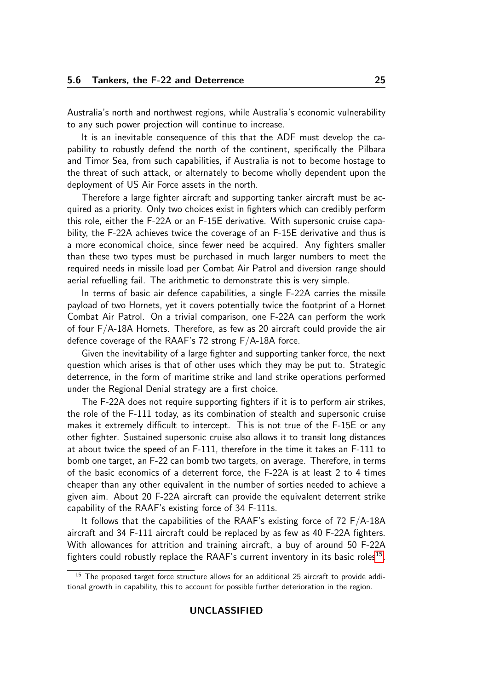Australia's north and northwest regions, while Australia's economic vulnerability to any such power projection will continue to increase.

It is an inevitable consequence of this that the ADF must develop the capability to robustly defend the north of the continent, specifically the Pilbara and Timor Sea, from such capabilities, if Australia is not to become hostage to the threat of such attack, or alternately to become wholly dependent upon the deployment of US Air Force assets in the north.

Therefore a large fighter aircraft and supporting tanker aircraft must be acquired as a priority. Only two choices exist in fighters which can credibly perform this role, either the F-22A or an F-15E derivative. With supersonic cruise capability, the F-22A achieves twice the coverage of an F-15E derivative and thus is a more economical choice, since fewer need be acquired. Any fighters smaller than these two types must be purchased in much larger numbers to meet the required needs in missile load per Combat Air Patrol and diversion range should aerial refuelling fail. The arithmetic to demonstrate this is very simple.

In terms of basic air defence capabilities, a single F-22A carries the missile payload of two Hornets, yet it covers potentially twice the footprint of a Hornet Combat Air Patrol. On a trivial comparison, one F-22A can perform the work of four F/A-18A Hornets. Therefore, as few as 20 aircraft could provide the air defence coverage of the RAAF's 72 strong F/A-18A force.

Given the inevitability of a large fighter and supporting tanker force, the next question which arises is that of other uses which they may be put to. Strategic deterrence, in the form of maritime strike and land strike operations performed under the Regional Denial strategy are a first choice.

The F-22A does not require supporting fighters if it is to perform air strikes, the role of the F-111 today, as its combination of stealth and supersonic cruise makes it extremely difficult to intercept. This is not true of the F-15E or any other fighter. Sustained supersonic cruise also allows it to transit long distances at about twice the speed of an F-111, therefore in the time it takes an F-111 to bomb one target, an F-22 can bomb two targets, on average. Therefore, in terms of the basic economics of a deterrent force, the F-22A is at least 2 to 4 times cheaper than any other equivalent in the number of sorties needed to achieve a given aim. About 20 F-22A aircraft can provide the equivalent deterrent strike capability of the RAAF's existing force of 34 F-111s.

It follows that the capabilities of the RAAF's existing force of 72 F/A-18A aircraft and 34 F-111 aircraft could be replaced by as few as 40 F-22A fighters. With allowances for attrition and training aircraft, a buy of around 50 F-22A fighters could robustly replace the RAAF's current inventory in its basic roles $^{15}$  $^{15}$  $^{15}$ .

<span id="page-24-0"></span><sup>&</sup>lt;sup>15</sup> The proposed target force structure allows for an additional 25 aircraft to provide additional growth in capability, this to account for possible further deterioration in the region.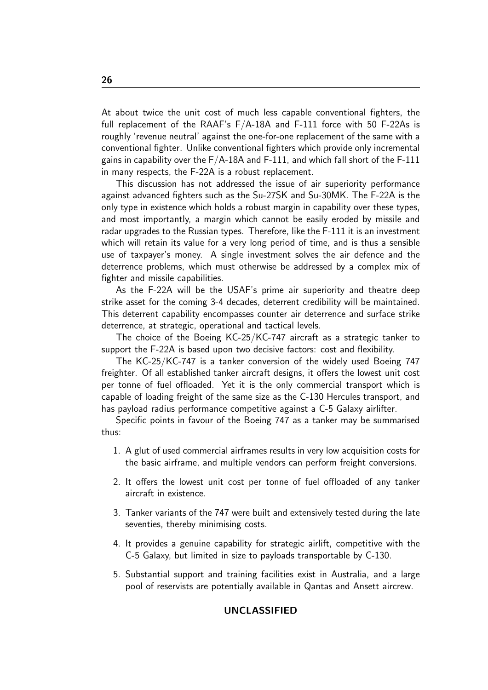At about twice the unit cost of much less capable conventional fighters, the full replacement of the RAAF's  $F/A-18A$  and F-111 force with 50 F-22As is roughly 'revenue neutral' against the one-for-one replacement of the same with a conventional fighter. Unlike conventional fighters which provide only incremental gains in capability over the  $F/A-18A$  and  $F-111$ , and which fall short of the  $F-111$ in many respects, the F-22A is a robust replacement.

This discussion has not addressed the issue of air superiority performance against advanced fighters such as the Su-27SK and Su-30MK. The F-22A is the only type in existence which holds a robust margin in capability over these types, and most importantly, a margin which cannot be easily eroded by missile and radar upgrades to the Russian types. Therefore, like the F-111 it is an investment which will retain its value for a very long period of time, and is thus a sensible use of taxpayer's money. A single investment solves the air defence and the deterrence problems, which must otherwise be addressed by a complex mix of fighter and missile capabilities.

As the F-22A will be the USAF's prime air superiority and theatre deep strike asset for the coming 3-4 decades, deterrent credibility will be maintained. This deterrent capability encompasses counter air deterrence and surface strike deterrence, at strategic, operational and tactical levels.

The choice of the Boeing KC-25/KC-747 aircraft as a strategic tanker to support the F-22A is based upon two decisive factors: cost and flexibility.

The KC-25/KC-747 is a tanker conversion of the widely used Boeing 747 freighter. Of all established tanker aircraft designs, it offers the lowest unit cost per tonne of fuel offloaded. Yet it is the only commercial transport which is capable of loading freight of the same size as the C-130 Hercules transport, and has payload radius performance competitive against a C-5 Galaxy airlifter.

Specific points in favour of the Boeing 747 as a tanker may be summarised thus:

- 1. A glut of used commercial airframes results in very low acquisition costs for the basic airframe, and multiple vendors can perform freight conversions.
- 2. It offers the lowest unit cost per tonne of fuel offloaded of any tanker aircraft in existence.
- 3. Tanker variants of the 747 were built and extensively tested during the late seventies, thereby minimising costs.
- 4. It provides a genuine capability for strategic airlift, competitive with the C-5 Galaxy, but limited in size to payloads transportable by C-130.
- 5. Substantial support and training facilities exist in Australia, and a large pool of reservists are potentially available in Qantas and Ansett aircrew.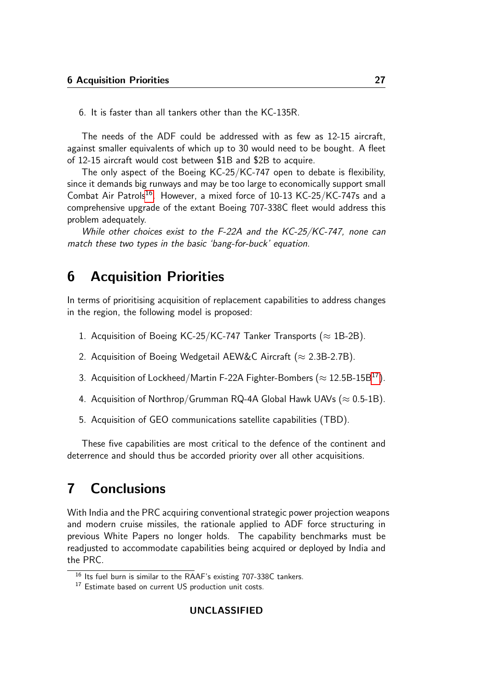6. It is faster than all tankers other than the KC-135R.

The needs of the ADF could be addressed with as few as 12-15 aircraft, against smaller equivalents of which up to 30 would need to be bought. A fleet of 12-15 aircraft would cost between \$1B and \$2B to acquire.

The only aspect of the Boeing KC-25/KC-747 open to debate is flexibility, since it demands big runways and may be too large to economically support small Combat Air Patrols<sup>[16](#page-26-0)</sup>. However, a mixed force of 10-13 KC-25/KC-747s and a comprehensive upgrade of the extant Boeing 707-338C fleet would address this problem adequately.

While other choices exist to the F-22A and the KC-25/KC-747, none can match these two types in the basic 'bang-for-buck' equation.

## 6 Acquisition Priorities

In terms of prioritising acquisition of replacement capabilities to address changes in the region, the following model is proposed:

- 1. Acquisition of Boeing KC-25/KC-747 Tanker Transports ( $\approx$  1B-2B).
- 2. Acquisition of Boeing Wedgetail AEW&C Aircraft ( $\approx$  2.3B-2.7B).
- 3. Acquisition of Lockheed/Martin F-22A Fighter-Bombers ( $\approx$  12.5B-15B<sup>[17](#page-26-1)</sup>).
- 4. Acquisition of Northrop/Grumman RQ-4A Global Hawk UAVs ( $\approx$  0.5-1B).
- 5. Acquisition of GEO communications satellite capabilities (TBD).

These five capabilities are most critical to the defence of the continent and deterrence and should thus be accorded priority over all other acquisitions.

## 7 Conclusions

With India and the PRC acquiring conventional strategic power projection weapons and modern cruise missiles, the rationale applied to ADF force structuring in previous White Papers no longer holds. The capability benchmarks must be readjusted to accommodate capabilities being acquired or deployed by India and the PRC.

<span id="page-26-0"></span><sup>&</sup>lt;sup>16</sup> Its fuel burn is similar to the RAAF's existing 707-338C tankers.

<span id="page-26-1"></span><sup>&</sup>lt;sup>17</sup> Estimate based on current US production unit costs.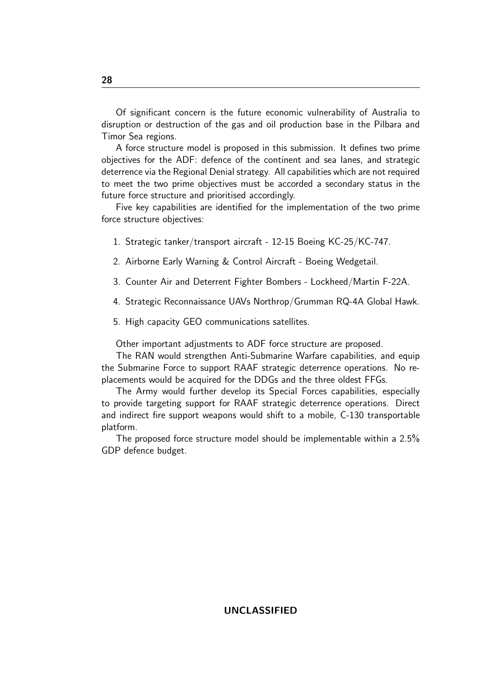Of significant concern is the future economic vulnerability of Australia to disruption or destruction of the gas and oil production base in the Pilbara and Timor Sea regions.

A force structure model is proposed in this submission. It defines two prime objectives for the ADF: defence of the continent and sea lanes, and strategic deterrence via the Regional Denial strategy. All capabilities which are not required to meet the two prime objectives must be accorded a secondary status in the future force structure and prioritised accordingly.

Five key capabilities are identified for the implementation of the two prime force structure objectives:

- 1. Strategic tanker/transport aircraft 12-15 Boeing KC-25/KC-747.
- 2. Airborne Early Warning & Control Aircraft Boeing Wedgetail.
- 3. Counter Air and Deterrent Fighter Bombers Lockheed/Martin F-22A.
- 4. Strategic Reconnaissance UAVs Northrop/Grumman RQ-4A Global Hawk.
- 5. High capacity GEO communications satellites.

Other important adjustments to ADF force structure are proposed.

The RAN would strengthen Anti-Submarine Warfare capabilities, and equip the Submarine Force to support RAAF strategic deterrence operations. No replacements would be acquired for the DDGs and the three oldest FFGs.

The Army would further develop its Special Forces capabilities, especially to provide targeting support for RAAF strategic deterrence operations. Direct and indirect fire support weapons would shift to a mobile, C-130 transportable platform.

The proposed force structure model should be implementable within a 2.5% GDP defence budget.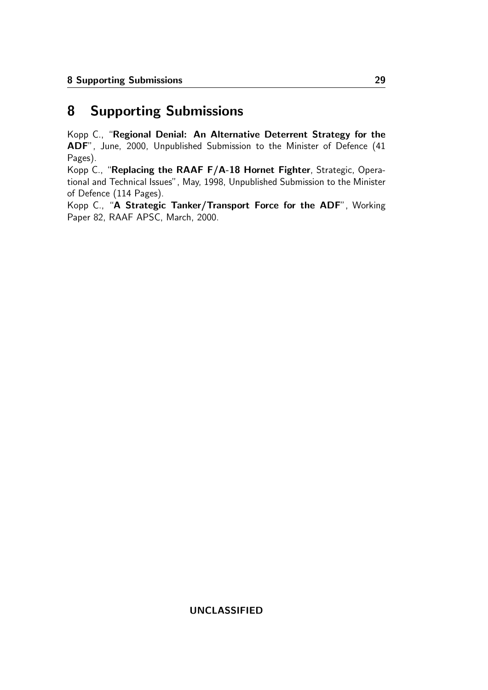# 8 Supporting Submissions

Kopp C., "Regional Denial: An Alternative Deterrent Strategy for the ADF", June, 2000, Unpublished Submission to the Minister of Defence (41 Pages).

Kopp C., "Replacing the RAAF F/A-18 Hornet Fighter, Strategic, Operational and Technical Issues", May, 1998, Unpublished Submission to the Minister of Defence (114 Pages).

Kopp C., "A Strategic Tanker/Transport Force for the ADF", Working Paper 82, RAAF APSC, March, 2000.